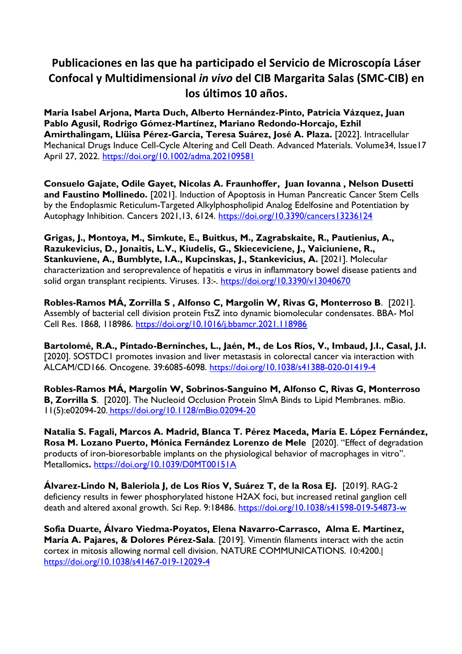## **Publicaciones en las que ha participado el Servicio de Microscopía Láser Confocal y Multidimensional** *in vivo* **del CIB Margarita Salas (SMC-CIB) en los últimos 10 años.**

**[María Isabel Arjona,](https://onlinelibrary.wiley.com/action/doSearch?ContribAuthorRaw=Arjona%2C+Mar%C3%ADa+Isabel) [Marta Duch,](https://onlinelibrary.wiley.com/action/doSearch?ContribAuthorRaw=Duch%2C+Marta) [Alberto Hernández-Pinto,](https://onlinelibrary.wiley.com/action/doSearch?ContribAuthorRaw=Hern%C3%A1ndez-Pinto%2C+Alberto) [Patricia Vázquez,](https://onlinelibrary.wiley.com/action/doSearch?ContribAuthorRaw=V%C3%A1zquez%2C+Patricia) [Juan](https://onlinelibrary.wiley.com/action/doSearch?ContribAuthorRaw=Agusil%2C+Juan+Pablo)  [Pablo Agusil,](https://onlinelibrary.wiley.com/action/doSearch?ContribAuthorRaw=Agusil%2C+Juan+Pablo) [Rodrigo Gómez-Martínez,](https://onlinelibrary.wiley.com/action/doSearch?ContribAuthorRaw=G%C3%B3mez-Mart%C3%ADnez%2C+Rodrigo) [Mariano Redondo-Horcajo,](https://onlinelibrary.wiley.com/action/doSearch?ContribAuthorRaw=Redondo-Horcajo%2C+Mariano) [Ezhil](https://onlinelibrary.wiley.com/action/doSearch?ContribAuthorRaw=Amirthalingam%2C+Ezhil)  [Amirthalingam,](https://onlinelibrary.wiley.com/action/doSearch?ContribAuthorRaw=Amirthalingam%2C+Ezhil) Llüisa Pérez-Garcia, [Teresa Suárez,](https://onlinelibrary.wiley.com/action/doSearch?ContribAuthorRaw=Su%C3%A1rez%2C+Teresa) [José A. Plaza.](https://onlinelibrary.wiley.com/action/doSearch?ContribAuthorRaw=Plaza%2C+Jos%C3%A9+A)** [2022]. Intracellular Mechanical Drugs Induce Cell-Cycle Altering and Cell Death. Advanced Materials. [Volume34,](https://onlinelibrary.wiley.com/toc/15214095/2022/34/17) Issue17 April 27, 2022.<https://doi.org/10.1002/adma.202109581>

**Consuelo Gajate, Odile Gayet, Nicolas A. Fraunhoffer, Juan Iovanna , Nelson Dusetti and Faustino Mollinedo.** [2021]. Induction of Apoptosis in Human Pancreatic Cancer Stem Cells by the Endoplasmic Reticulum-Targeted Alkylphospholipid Analog Edelfosine and Potentiation by Autophagy Inhibition. Cancers 2021,13, 6124.<https://doi.org/10.3390/cancers13236124>

**Grigas, J., Montoya, M., Simkute, E., Buitkus, M., Zagrabskaite, R., Pautienius, A., Razukevicius, D., Jonaitis, L.V., Kiudelis, G., Skieceviciene, J., Vaiciuniene, R., Stankuviene, A., Bumblyte, I.A., Kupcinskas, J., Stankevicius, A.** [2021]. Molecular characterization and seroprevalence of hepatitis e virus in inflammatory bowel disease patients and solid organ transplant recipients. Viruses. 13:-. <https://doi.org/10.3390/v13040670>

**Robles-Ramos MÁ, Zorrilla S , Alfonso C, Margolin W, Rivas G, Monterroso B**. [2021]. Assembly of bacterial cell division protein FtsZ into dynamic biomolecular condensates. BBA- Mol Cell Res. 1868, 118986. <https://doi.org/10.1016/j.bbamcr.2021.118986>

**Bartolomé, R.A., Pintado-Berninches, L., Jaén, M., de Los Ríos, V., Imbaud, J.I., Casal, J.I.**  [2020]. SOSTDC1 promotes invasion and liver metastasis in colorectal cancer via interaction with ALCAM/CD166. Oncogene. 39:6085-6098. <https://doi.org/10.1038/s41388-020-01419-4>

**Robles-Ramos MÁ, Margolin W, Sobrinos-Sanguino M, Alfonso C, Rivas G, Monterroso B, Zorrilla S**. [2020]. The Nucleoid Occlusion Protein SlmA Binds to Lipid Membranes. mBio. 11(5):e02094-20. <https://doi.org/10.1128/mBio.02094-20>

**Natalia S. Fagali, Marcos A. Madrid, Blanca T. Pérez Maceda, María E. López Fernández, Rosa M. Lozano Puerto, Mónica Fernández Lorenzo de Mele** [2020]. "Effect of degradation products of iron-bioresorbable implants on the physiological behavior of macrophages in vitro". Metallomics**.** <https://doi.org/10.1039/D0MT00151A>

**Álvarez-Lindo N, Baleriola J, de Los Ríos V, Suárez T, de la Rosa EJ.** [2019]. RAG-2 deficiency results in fewer phosphorylated histone H2AX foci, but increased retinal ganglion cell death and altered axonal growth. Sci Rep. 9:18486.<https://doi.org/10.1038/s41598-019-54873-w>

**Sofia Duarte, Álvaro Viedma-Poyatos, Elena Navarro-Carrasco, Alma E. Martínez, María A. Pajares, & Dolores Pérez-Sala**. [2019]. Vimentin filaments interact with the actin cortex in mitosis allowing normal cell division. NATURE COMMUNICATIONS. 10:4200.| <https://doi.org/10.1038/s41467-019-12029-4>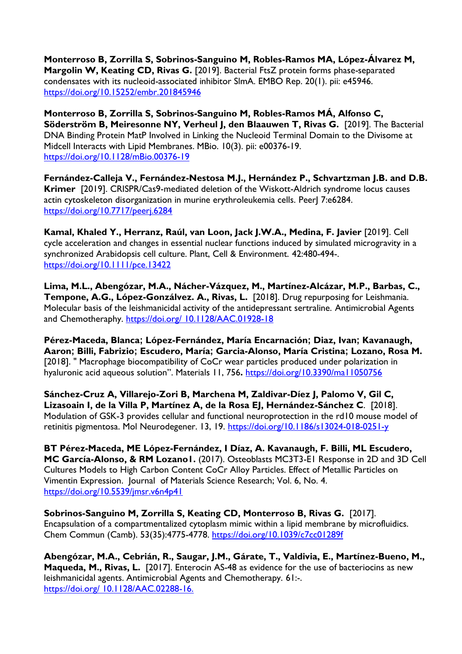**Monterroso B, Zorrilla S, Sobrinos-Sanguino M, Robles-Ramos MA, López-Álvarez M, Margolin W, Keating CD, Rivas G.** [2019]. Bacterial FtsZ protein forms phase-separated condensates with its nucleoid-associated inhibitor SlmA. EMBO Rep. 20(1). pii: e45946. <https://doi.org/10.15252/embr.201845946>

**Monterroso B, Zorrilla S, Sobrinos-Sanguino M, Robles-Ramos MÁ, Alfonso C, Söderström B, Meiresonne NY, Verheul J, den Blaauwen T, Rivas G.** [2019]. The Bacterial DNA Binding Protein MatP Involved in Linking the Nucleoid Terminal Domain to the Divisome at Midcell Interacts with Lipid Membranes. MBio. 10(3). pii: e00376-19. <https://doi.org/10.1128/mBio.00376-19>

**Fernández-Calleja V., Fernández-Nestosa M.J., Hernández P., Schvartzman J.B. and D.B. Krimer** [2019]. CRISPR/Cas9-mediated deletion of the Wiskott-Aldrich syndrome locus causes actin cytoskeleton disorganization in murine erythroleukemia cells. Peer| 7:e6284. <https://doi.org/10.7717/peerj.6284>

**Kamal, Khaled Y., Herranz, Raúl, van Loon, Jack J.W.A., Medina, F. Javier** [2019]. Cell cycle acceleration and changes in essential nuclear functions induced by simulated microgravity in a synchronized Arabidopsis cell culture. Plant, Cell & Environment. 42:480-494-. <https://doi.org/10.1111/pce.13422>

**Lima, M.L., Abengózar, M.A., Nácher-Vázquez, M., Martínez-Alcázar, M.P., Barbas, C., Tempone, A.G., López-Gonzálvez. A., Rivas, L.** [2018]. Drug repurposing for Leishmania. Molecular basis of the leishmanicidal activity of the antidepressant sertraline. Antimicrobial Agents and Chemotheraphy. https://doi.org/ [10.1128/AAC.01928-18](https://doi.org/%2010.1128/AAC.01928-18)

**Pérez-Maceda, Blanca; López-Fernández, María Encarnación; Diaz, Ivan; Kavanaugh, Aaron; Billi, Fabrizio; Escudero, María; Garcia-Alonso, María Cristina; Lozano, Rosa M.**  [2018]. " Macrophage biocompatibility of CoCr wear particles produced under polarization in hyaluronic acid aqueous solution". Materials 11, 756**.** <https://doi.org/10.3390/ma11050756>

**Sánchez-Cruz A, Villarejo-Zori B, Marchena M, Zaldivar-Díez J, Palomo V, Gil C, Lizasoain I, de la Villa P, Martínez A, de la Rosa EJ, Hernández-Sánchez C**. [2018]. Modulation of GSK-3 provides cellular and functional neuroprotection in the rd10 mouse model of retinitis pigmentosa. Mol Neurodegener. 13, 19. <https://doi.org/10.1186/s13024-018-0251-y>

**BT Pérez-Maceda, ME López-Fernández, I Díaz, A. Kavanaugh, F. Billi, ML Escudero, MC García-Alonso, & RM Lozano1.** (2017). Osteoblasts MC3T3-E1 Response in 2D and 3D Cell Cultures Models to High Carbon Content CoCr Alloy Particles. Effect of Metallic Particles on Vimentin Expression. Journal of Materials Science Research; Vol. 6, No. 4. <https://doi.org/10.5539/jmsr.v6n4p41>

**Sobrinos-Sanguino M, Zorrilla S, Keating CD, Monterroso B, Rivas G.** [2017]. Encapsulation of a compartmentalized cytoplasm mimic within a lipid membrane by microfluidics. Chem Commun (Camb). 53(35):4775-4778.<https://doi.org/10.1039/c7cc01289f>

**Abengózar, M.A., Cebrián, R., Saugar, J.M., Gárate, T., Valdivia, E., Martínez-Bueno, M., Maqueda, M., Rivas, L.** [2017]. Enterocin AS-48 as evidence for the use of bacteriocins as new leishmanicidal agents. Antimicrobial Agents and Chemotherapy. 61:-. [https://doi.org/ 10.1128/AAC.02288-16.](https://doi.org/%2010.1128/AAC.02288-16.)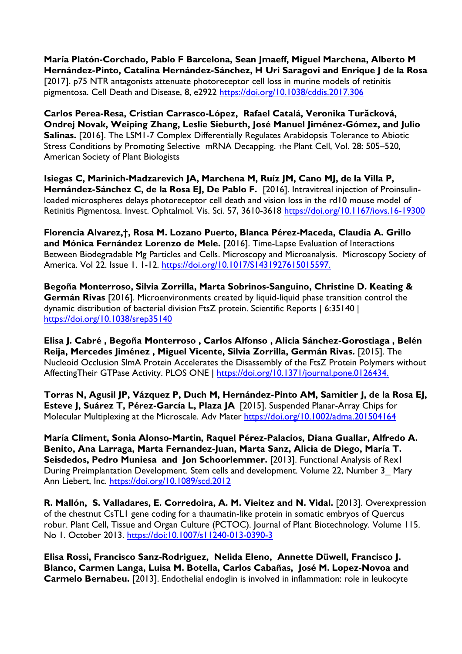**María Platón-Corchado, Pablo F Barcelona, Sean Jmaeff, Miguel Marchena, Alberto M Hernández-Pinto, Catalina Hernández-Sánchez, H Uri Saragovi and Enrique J de la Rosa**  [2017]. p75 NTR antagonists attenuate photoreceptor cell loss in murine models of retinitis pigmentosa. Cell Death and Disease, 8, e2922 <https://doi.org/10.1038/cddis.2017.306>

**Carlos Perea-Resa, Cristian Carrasco-López, Rafael Catalá, Veronika Turăcková, Ondrej Novak, Weiping Zhang, Leslie Sieburth, José Manuel Jiménez-Gómez, and Julio Salinas.** [2016]. The LSM1-7 Complex Differentially Regulates Arabidopsis Tolerance to Abiotic Stress Conditions by Promoting Selective mRNA Decapping. The Plant Cell, Vol. 28: 505–520, American Society of Plant Biologists

**Isiegas C, Marinich-Madzarevich JA, Marchena M, Ruíz JM, Cano MJ, de la Villa P,**  Hernández-Sánchez C, de la Rosa EJ, De Pablo F. [2016]. Intravitreal injection of Proinsulinloaded microspheres delays photoreceptor cell death and vision loss in the rd10 mouse model of Retinitis Pigmentosa. Invest. Ophtalmol. Vis. Sci. 57, 3610-3618 <https://doi.org/10.1167/iovs.16-19300>

**Florencia Alvarez,†, Rosa M. Lozano Puerto, Blanca Pérez-Maceda, Claudia A. Grillo and Mónica Fernández Lorenzo de Mele.** [2016]. Time-Lapse Evaluation of Interactions Between Biodegradable Mg Particles and Cells. Microscopy and Microanalysis. Microscopy Society of America. Vol 22. Issue 1. 1[-12. https://doi.org/10.1017/S1431927615015597.](12.%20https:/doi.org/10.1017/S1431927615015597.)

**Begoña Monterroso, Silvia Zorrilla, Marta Sobrinos-Sanguino, Christine D. Keating & Germán Rivas** [2016]. Microenvironments created by liquid-liquid phase transition control the dynamic distribution of bacterial division FtsZ protein. Scientific Reports | 6:35140 | <https://doi.org/10.1038/srep35140>

**Elisa J. Cabré , Begoña Monterroso , Carlos Alfonso , Alicia Sánchez-Gorostiaga , Belén Reija, Mercedes Jiménez , Miguel Vicente, Silvia Zorrilla, Germán Rivas.** [2015]. The Nucleoid Occlusion SlmA Protein Accelerates the Disassembly of the FtsZ Protein Polymers without AffectingTheir GTPase Activity. PLOS ONE | [https://doi.org/10.1371/journal.pone.0126434.](https://doi.org/10.1371/journal.pone.0126434)

**Torras N, Agusil JP, Vázquez P, Duch M, Hernández-Pinto AM, Samitier J, de la Rosa EJ, Esteve J, Suárez T, Pérez-García L, Plaza JA** [2015]. Suspended Planar-Array Chips for Molecular Multiplexing at the Microscale. Adv Mater <https://doi.org/10.1002/adma.201504164>

**María Climent, Sonia Alonso-Martin, Raquel Pérez-Palacios, Diana Guallar, Alfredo A. Benito, Ana Larraga, Marta Fernandez-Juan, Marta Sanz, Alicia de Diego, María T. Seisdedos, Pedro Muniesa and Jon Schoorlemmer.** [2013]. Functional Analysis of Rex1 During Preimplantation Development. Stem cells and development. Volume 22, Number 3\_ Mary Ann Liebert, Inc. <https://doi.org/10.1089/scd.2012>

**R. Mallón, S. Valladares, E. Corredoira, A. M. Vieitez and N. Vidal.** [2013]. Overexpression of the chestnut CsTL1 gene coding for a thaumatin-like protein in somatic embryos of Quercus robur. Plant Cell, Tissue and Organ Culture (PCTOC). Journal of Plant Biotechnology. Volume 115. No 1. October 2013.<https://doi:10.1007/s11240-013-0390-3>

**Elisa Rossi, Francisco Sanz-Rodriguez, Nelida Eleno, Annette Düwell, Francisco J. Blanco, Carmen Langa, Luisa M. Botella, Carlos Cabañas, José M. Lopez-Novoa and Carmelo Bernabeu.** [2013]. Endothelial endoglin is involved in inflammation: role in leukocyte